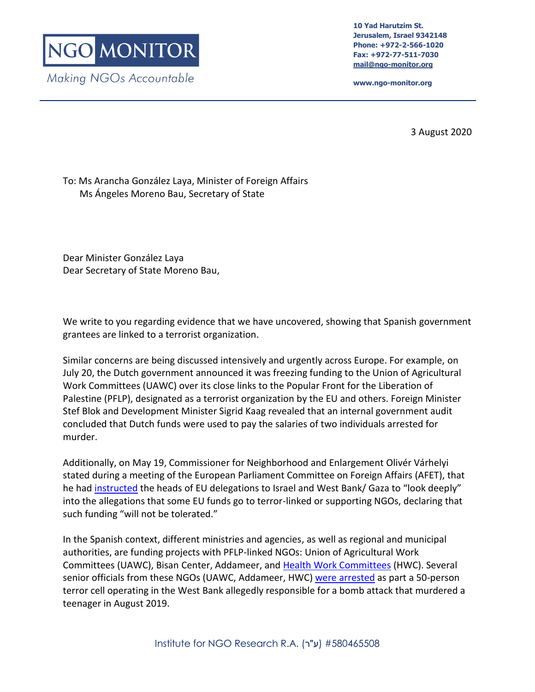**10 Yad Harutzim St. Jerusalem, Israel 9342148 Phone: +972-2-566-1020 Fax: +972-77-511-7030 [mail@ngo-monitor.org](mailto:mail@ngo-monitor.org)**

**www.ngo-monitor.org**

3 August 2020

## To: Ms Arancha González Laya, Minister of Foreign Affairs Ms Ángeles Moreno Bau, Secretary of State

Dear Minister González Laya Dear Secretary of State Moreno Bau,

We write to you regarding evidence that we have uncovered, showing that Spanish government grantees are linked to a terrorist organization.

Similar concerns are being discussed intensively and urgently across Europe. For example, on July 20, the Dutch government announced it was freezing funding to the Union of Agricultural Work Committees (UAWC) over its close links to the Popular Front for the Liberation of Palestine (PFLP), designated as a terrorist organization by the EU and others. Foreign Minister Stef Blok and Development Minister Sigrid Kaag revealed that an internal government audit concluded that Dutch funds were used to pay the salaries of two individuals arrested for murder.

Additionally, on May 19, Commissioner for Neighborhood and Enlargement Olivér Várhelyi stated during a meeting of the European Parliament Committee on Foreign Affairs (AFET), that he had [instructed](https://multimedia.europarl.europa.eu/en/afet-committee_20200519-1630-COMMITTEE-AFET_vd) the heads of EU delegations to Israel and West Bank/ Gaza to "look deeply" into the allegations that some EU funds go to terror-linked or supporting NGOs, declaring that such funding "will not be tolerated."

In the Spanish context, different ministries and agencies, as well as regional and municipal authorities, are funding projects with PFLP-linked NGOs: Union of Agricultural Work Committees (UAWC), Bisan Center, Addameer, and [Health Work Committees](https://www.ngo-monitor.org/reports/health-work-committees-ties-to-the-pflp-terror-group/) (HWC). Several senior officials from these NGOs (UAWC, Addameer, HWC[\) were arrested](https://www.ynet.co.il/articles/0,7340,L-5644752,00.html) as part a 50-person terror cell operating in the West Bank allegedly responsible for a bomb attack that murdered a teenager in August 2019.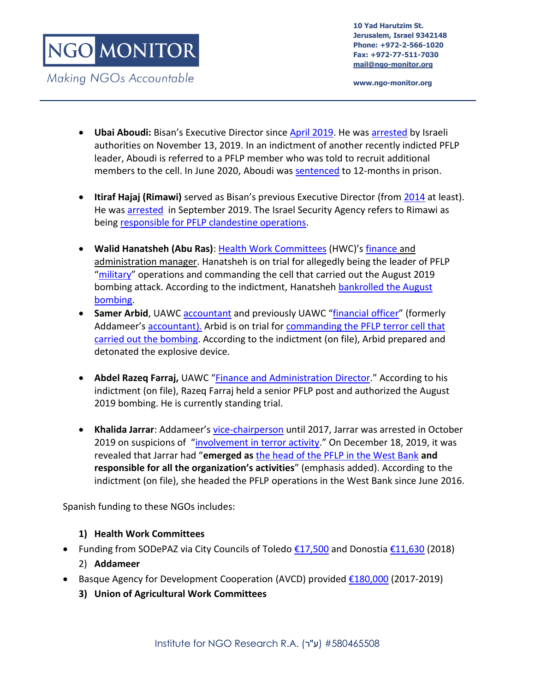**www.ngo-monitor.org**

- **Ubai Aboudi:** Bisan's Executive Director since [April 2019.](https://www.linkedin.com/in/ubai-al-aboudi-a2b2b59b/) He was [arrested](https://bisan.org/bisan-center-for-research-and-development-denounces-the-arrest-of-its-director-ubai-aboudi/) by Israeli authorities on November 13, 2019. In an indictment of another recently indicted PFLP leader, Aboudi is referred to a PFLP member who was told to recruit additional members to the cell. In June 2020, Aboudi was [sentenced](https://samidoun.net/2020/06/israeli-military-court-sentences-palestinian-american-researcher-ubai-aboudi-in-new-injustice/?fbclid=IwAR3r9URIXTsbsjgBTB8UKD9jk-_QYaX8MHBNRuBDXbhzpqlvV05htNFKZs0) to 12-months in prison.
- **Itiraf Hajaj (Rimawi)** served as Bisan's previous Executive Director (from [2014](http://www.addameer.org/prisoner/eteraf-bajes-rimawi-2) at least). He was [arrested](http://english.wafa.ps/page.aspx?id=pbD98Fa113546036406apbD98F&__cf_chl_jschl_tk__=f134d7531ce91fa8f3ebbd5ae449e0d1a24f3743-1577096785-0-AVs8a6Un3nJgn9qEn6m5SZA5zNXS9BXXws8sNSHlvZQ48glx1TfJgCvqjw5O4R4EvTNFak0J63UzAD25RXGzUU5ld20p0H-j25_M-I7lLQlbmCBOgFafIvAB9DBPGT5YaVRLa-x8XDfeTvv2wFbAwhihEaP66np7hJDAxksbua9EQsX40MFqEPNqzMFtlTrGELYlbwV8OTXeN3xnYqLFlh7Q-b6iCGA9yWRLc_D3on1Xh4OqGqU6ukcyOdPOGoKA_NZDZ8udMojwXYRlv20C4zuFcNJPs9JC-zIQk_5RgyI_zF2npT_g1sCiNQEyCAJ8lw) in September 2019. The Israel Security Agency refers to Rimawi as being [responsible for PFLP clandestine operations.](https://www.google.com/url?q=https://www.shabak.gov.il/publications/Pages/%25D7%2597%25D7%25A9%25D7%2599%25D7%25A4%25D7%25AA-%25D7%25AA%25D7%25A9%25D7%25AA%25D7%2599%25D7%25AA-%25D7%2598%25D7%25A8%25D7%2595%25D7%25A8-%25D7%25A0%25D7%25A8%25D7%2597%25D7%2591%25D7%25AA-%25D7%25A9%25D7%259C-%25D7%2594%25D7%2597%25D7%2596%25D7%2599%25D7%25AA-%25D7%2594%25D7%25A2%25D7%259E%25D7%259E%25D7%2599%25D7%25AA-%25D7%25A9%25D7%25A4%25D7%25A2%25D7%259C%25D7%2594-%25D7%2591%25D7%2590%25D7%2599%25D7%2595%25D7%25A9-.aspx&sa=D&source=hangouts&ust=1576853904261000&usg=AFQjCNF3va1QYccM2ZbZ2rmKYcQcxPlkdg)
- **Walid Hanatsheh (Abu Ras)**: [Health Work Committees](https://www.ngo-monitor.org/reports/health-work-committees-ties-to-the-pflp-terror-group/) (HWC)'s [finance](http://www.hwc-pal.org/page.php?id=KSjeZhmmhpa277692AGefB0DvnkU&fbclid=IwAR0trZvqCqEzuvfrefLApfjf3aaiW3ivPJHNDSpgx94YqD5Omxntv4Low3k) and administration manager. Hanatsheh is on trial for allegedly being the leader of PFLP "[military](https://www.shabak.gov.il/publications/Pages/%D7%97%D7%A9%D7%99%D7%A4%D7%AA-%D7%AA%D7%A9%D7%AA%D7%99%D7%AA-%D7%98%D7%A8%D7%95%D7%A8-%D7%A0%D7%A8%D7%97%D7%91%D7%AA-%D7%A9%D7%9C-%D7%94%D7%97%D7%96%D7%99%D7%AA-%D7%94%D7%A2%D7%9E%D7%9E%D7%99%D7%AA-%D7%A9%D7%A4%D7%A2%D7%9C%D7%94-%D7%91%D7%90%D7%99%D7%95%D7%A9-.aspx)" operations and commanding the cell that carried out the August 2019 bombing attack. According to the indictment, Hanatsheh [bankrolled the August](https://www.mako.co.il/news-military/2019_q4/Article-dff558c3b681f61026.htm?Partner=searchResults)  [bombing.](https://www.mako.co.il/news-military/2019_q4/Article-dff558c3b681f61026.htm?Partner=searchResults)
- **Samer Arbid**, UAWC [accountant](https://www.alaraby.co.uk/society/2019/10/3/%D9%85%D8%B3%D9%8A%D8%B1%D8%A9-%D8%A8%D8%B4%D9%88%D8%A7%D8%B1%D8%B9-%D8%B1%D8%A7%D9%85-%D8%A7%D9%84%D9%84%D9%87-%D9%84%D9%84%D9%85%D8%B7%D8%A7%D9%84%D8%A8%D8%A9-%D8%A8%D8%A5%D9%86%D9%82%D8%A7%D8%B0-%D8%A7%D9%84%D8%A3%D8%B3%D9%8A%D8%B1-%D8%B3%D8%A7%D9%85%D8%B1-%D8%A7%D9%84%D8%B9%D8%B1%D8%A8%D9%8A%D8%AF) and previously UAWC "[financial officer](https://web.archive.org/web/20180828231233/http:/uawc-pal.org/Files/3a6e8918-0e80-4922-a607-7a83c05e31e3.pdf.pdf)" (formerly Addameer's [accountant\)](https://web.archive.org/web/20180917191446/http:/www.addameer.org/ar/content/%D8%B7%D8%A7%D9%82%D9%85%D9%86%D8%A7). Arbid is on trial for commanding the PFLP terror cell that [carried out the bombing.](https://www.timesofisrael.com/west-bank-terror-bombing-suspect-in-critical-condition-after-interrogation/) According to the indictment (on file), Arbid prepared and detonated the explosive device.
- **Abdel Razeq Farraj,** UAWC "[Finance and Administration Director](https://www.amnesty.org/download/Documents/MDE1589462018ENGLISH.pdf)." According to his indictment (on file), Razeq Farraj held a senior PFLP post and authorized the August 2019 bombing. He is currently standing trial.
- **Khalida Jarrar**: Addameer's [vice-chairperson](https://web.archive.org/web/20170114234823/http:/www.addameer.org/about/board-general-assembly) until 2017, Jarrar was arrested in October 2019 on suspicions of "[involvement in terror activity](https://www.timesofisrael.com/israeli-forces-re-arrest-senior-pflp-member-in-ramallah/)." On December 18, 2019, it was revealed that Jarrar had "**emerged as** [the head of the PFLP in the West Bank](https://www.jpost.com/Israel-News/Shin-Bet-arrests-50-PFLP-terrorists-thwart-upcoming-attack-611289) **and responsible for all the organization's activities**" (emphasis added). According to the indictment (on file), she headed the PFLP operations in the West Bank since June 2016.

Spanish funding to these NGOs includes:

## **1) Health Work Committees**

- Funding from SODePAZ via City Councils of Toledo [€17,500](https://onedrive.live.com/?authkey=%21AJ0u2wb3zrW26hY&cid=EF229062EAB7829E&id=EF229062EAB7829E%213529&parId=EF229062EAB7829E%213525&o=OneUp) and Donostia [€11,630](https://onedrive.live.com/?authkey=%21AJ0u2wb3zrW26hY&cid=EF229062EAB7829E&id=EF229062EAB7829E%213529&parId=EF229062EAB7829E%213525&o=OneUp) (2018)
	- 2) **Addameer**
- Basque Agency for Development Cooperation (AVCD) provided [€180,000](http://euskalankidetza.hegoa.ehu.eus/es/projects/3583) (2017-2019)
	- **3) Union of Agricultural Work Committees**